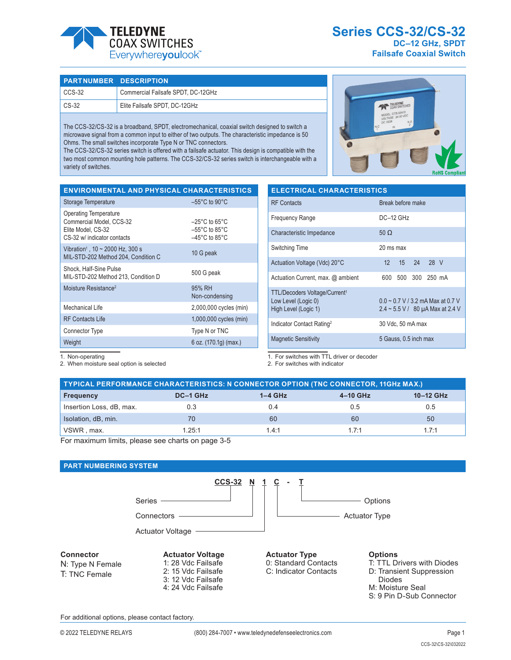

**Series CCS-32/CS-32 DC–12 GHz, SPDT Failsafe Coaxial Switch**

### **PART NUMBER DESCRIPTION**

| CCS-32          | Commercial Failsafe SPDT, DC-12GHz |
|-----------------|------------------------------------|
| $\subset$ CS-32 | Elite Failsafe SPDT, DC-12GHz      |

The CCS-32/CS-32 is a broadband, SPDT, electromechanical, coaxial switch designed to switch a microwave signal from a common input to either of two outputs. The characteristic impedance is 50 Ohms. The small switches incorporate Type N or TNC connectors.

The CCS-32/CS-32 series switch is offered with a failsafe actuator. This design is compatible with the two most common mounting hole patterns. The CCS-32/CS-32 series switch is interchangeable with a variety of switches.

| TELEDYNE<br>COAX SWITCHES<br>MODEL: CCS-32N10<br>VOLTAGE 24-30 VDC<br>DC: 0239<br>N.O.<br>$\overline{c}$<br>N.C<br>$\mathsf{IN}$ |                       |
|----------------------------------------------------------------------------------------------------------------------------------|-----------------------|
|                                                                                                                                  | <b>RoHS Compliant</b> |

| <b>ENVIRONMENTAL AND PHYSICAL CHARACTERISTICS</b>                                                             |                                                                                                                |
|---------------------------------------------------------------------------------------------------------------|----------------------------------------------------------------------------------------------------------------|
| Storage Temperature                                                                                           | $-55^{\circ}$ C to 90 $^{\circ}$ C                                                                             |
| <b>Operating Temperature</b><br>Commercial Model, CCS-32<br>Elite Model, CS-32<br>CS-32 w/ indicator contacts | $-25^{\circ}$ C to 65 $^{\circ}$ C<br>$-55^{\circ}$ C to 85 $^{\circ}$ C<br>$-45^{\circ}$ C to 85 $^{\circ}$ C |
| Vibration <sup>1</sup> , $10 \sim 2000$ Hz, 300 s<br>MIL-STD-202 Method 204, Condition C                      | 10 G peak                                                                                                      |
| Shock, Half-Sine Pulse<br>MIL-STD-202 Method 213, Condition D                                                 | 500 G peak                                                                                                     |
| Moisture Resistance <sup>2</sup>                                                                              | 95% RH<br>Non-condensing                                                                                       |
| Mechanical Life                                                                                               | 2,000,000 cycles (min)                                                                                         |
| <b>RF Contacts Life</b>                                                                                       | 1,000,000 cycles (min)                                                                                         |
| Connector Type                                                                                                | Type N or TNC                                                                                                  |
| Weight                                                                                                        | 6 oz. (170.1g) (max.)                                                                                          |

| <b>ELECTRICAL CHARACTERISTICS</b>                                                                                                                                      |                       |  |  |
|------------------------------------------------------------------------------------------------------------------------------------------------------------------------|-----------------------|--|--|
| <b>RF</b> Contacts                                                                                                                                                     | Break before make     |  |  |
| <b>Frequency Range</b>                                                                                                                                                 | DC-12 GHz             |  |  |
| Characteristic Impedance                                                                                                                                               | 50 $\Omega$           |  |  |
| Switching Time                                                                                                                                                         | $20 \text{ ms}$ max   |  |  |
| Actuation Voltage (Vdc) 20°C                                                                                                                                           | 15 24 28 V<br>12      |  |  |
| Actuation Current, max. @ ambient                                                                                                                                      | 500 300 250 mA<br>600 |  |  |
| TTL/Decoders Voltage/Current <sup>1</sup><br>$0.0 \sim 0.7$ V / 3.2 mA Max at 0.7 V<br>Low Level (Logic 0)<br>High Level (Logic 1)<br>2.4 ~ 5.5 V / 80 µA Max at 2.4 V |                       |  |  |
| Indicator Contact Rating <sup>2</sup>                                                                                                                                  | 30 Vdc, 50 mA max     |  |  |
| <b>Magnetic Sensitivity</b>                                                                                                                                            | 5 Gauss, 0.5 inch max |  |  |

1. Non-operating

2. When moisture seal option is selected

1. For switches with TTL driver or decoder

2. For switches with indicator

| TYPICAL PERFORMANCE CHARACTERISTICS: N CONNECTOR OPTION (TNC CONNECTOR, 11GHz MAX.) |          |           |          |           |  |
|-------------------------------------------------------------------------------------|----------|-----------|----------|-----------|--|
| <b>Frequency</b>                                                                    | DC-1 GHz | $1-4$ GHz | 4-10 GHz | 10-12 GHz |  |
| Insertion Loss, dB, max.                                                            | 0.3      | 0.4       | 0.5      | 0.5       |  |
| Isolation, dB, min.                                                                 | 70       | 60        | 60       | 50        |  |
| VSWR, max.                                                                          | 1.25:1   | 14.1      | 17.1     | 17.1      |  |

For maximum limits, please see charts on page 3-5

# **PART NUMBERING SYSTEM**



# **Connector**

N: Type N Female T: TNC Female

#### **Actuator Voltage** 1: 28 Vdc Failsafe 2: 15 Vdc Failsafe 3: 12 Vdc Failsafe

4: 24 Vdc Failsafe

#### **Actuator Type** 0: Standard Contacts C: Indicator Contacts

**Options**

- T: TTL Drivers with Diodes D: Transient Suppression
- Diodes
- M: Moisture Seal
- S: 9 Pin D-Sub Connector

For additional options, please contact factory.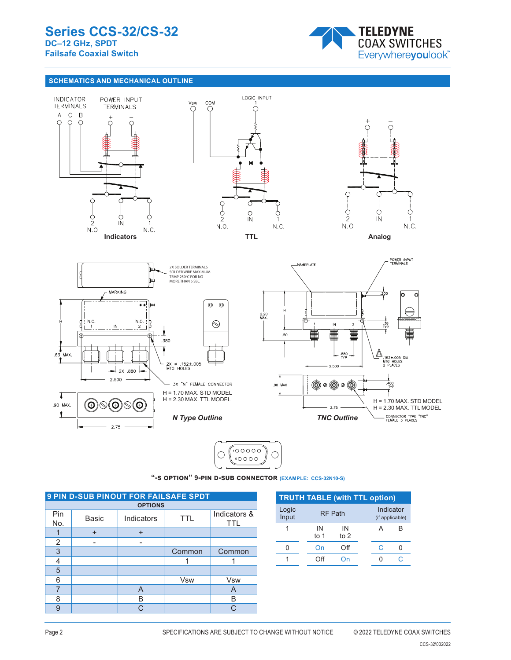

# **SCHEMATICS AND MECHANICAL OUTLINE**





"-S OPTION" 9-PIN D-SUB CONNECTOR **(EXAMPLE: CCS-32N10-S)** 

| <b>9 PIN D-SUB PINOUT FOR FAILSAFE SPDT</b> |                |                          |            |                            |  |  |
|---------------------------------------------|----------------|--------------------------|------------|----------------------------|--|--|
|                                             | <b>OPTIONS</b> |                          |            |                            |  |  |
| Pin<br>No.                                  | Basic          | Indicators<br><b>TTL</b> |            | Indicators &<br><b>TTL</b> |  |  |
|                                             | $\ddot{}$      | +                        |            |                            |  |  |
| $\overline{2}$                              |                |                          |            |                            |  |  |
| $\overline{3}$                              |                |                          | Common     | Common                     |  |  |
| 4                                           |                |                          |            |                            |  |  |
| 5                                           |                |                          |            |                            |  |  |
| 6                                           |                |                          | <b>Vsw</b> | Vsw                        |  |  |
| 7                                           |                | A                        |            | A                          |  |  |
| 8                                           |                | B                        |            | B                          |  |  |
| 9                                           |                | C.                       |            | C                          |  |  |

| <b>TRUTH TABLE (with TTL option)</b> |              |                |  |   |                              |
|--------------------------------------|--------------|----------------|--|---|------------------------------|
| Logic<br>Input                       |              | <b>RF Path</b> |  |   | Indicator<br>(if applicable) |
|                                      | IN<br>to $1$ | IN<br>to 2     |  | А | R                            |
|                                      | On           | Ωff            |  | C |                              |
|                                      | ١ff          |                |  |   |                              |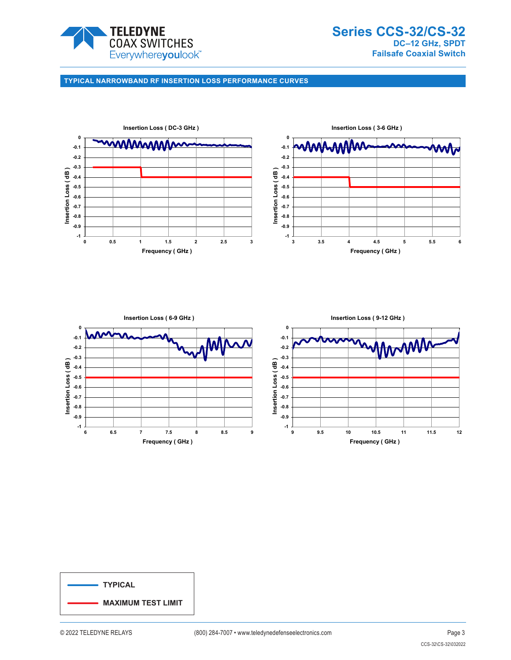

# **TYPICAL NARROWBAND RF INSERTION LOSS PERFORMANCE CURVES**





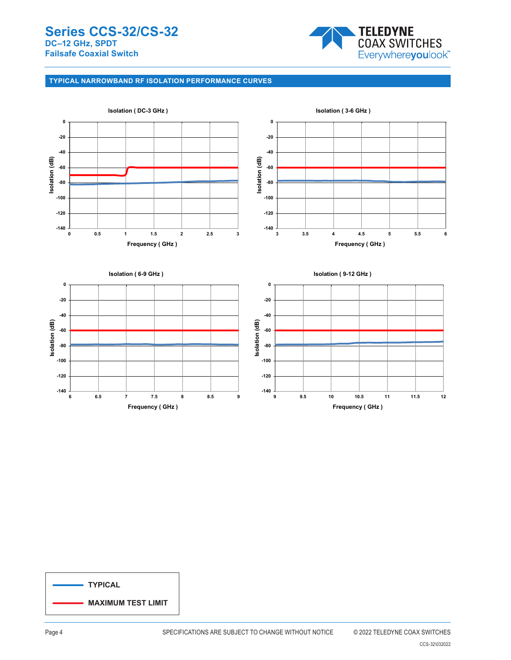

# **TYPICAL NARROWBAND RF ISOLATION PERFORMANCE CURVES**



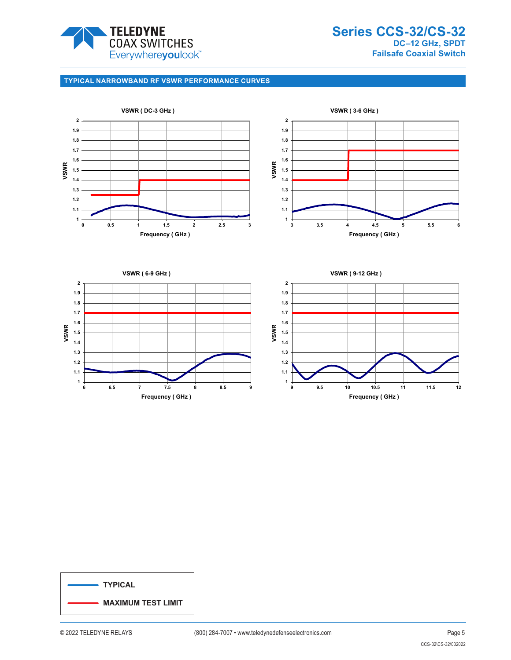

**Series CCS-32/CS-32 DC–12 GHz, SPDT Failsafe Coaxial Switch**

# **TYPICAL NARROWBAND RF VSWR PERFORMANCE CURVES**



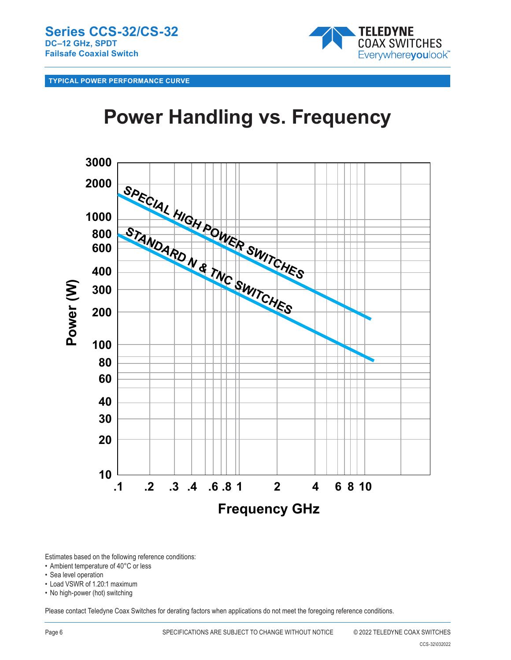

**TYPICAL POWER PERFORMANCE CURVE**

# **Power Handling vs. Frequency**



Estimates based on the following reference conditions:

- Ambient temperature of 40°C or less
- Sea level operation
- Load VSWR of 1.20:1 maximum
- No high-power (hot) switching

Please contact Teledyne Coax Switches for derating factors when applications do not meet the foregoing reference conditions.